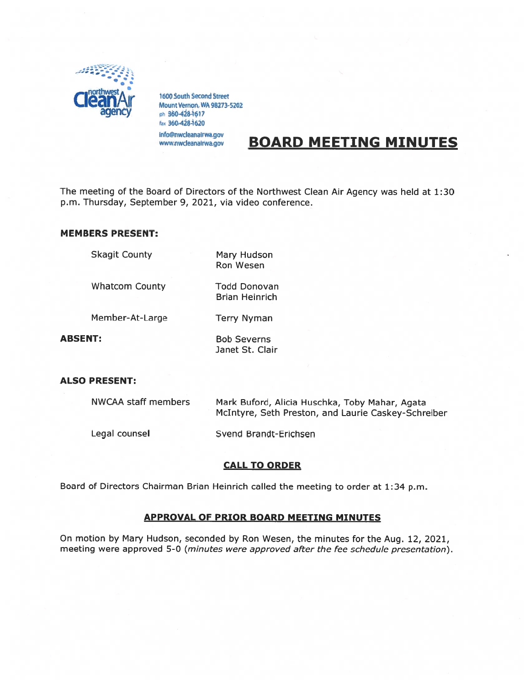

1600 South Second Street<br>Mount Vernon, WA 98273-5202 ph 360-428-1617 fax 360-428-1620 info@nwcleanaIrwa.gov

www.nwcleanairwa.gov

# BOARD MEETING MINUTES

The meeting of the Board of Directors of the Northwest Clean Air Agency was held at 1:30 p.m. Thursday, September 9, 2021, via video conference.

Ron Wesen

# MEMBERS PRESENT:

Skagit County Mary Hudson

Whatcom County Todd Donovan

Brian Heinrich

Member-At-Large Terry Nyman

ABSENT: Bob Severns Janet St. Clair

# ALSO PRESENT:

| NWCAA staff members | Mark Buford, Alicia Huschka, Toby Mahar, Agata<br>McIntyre, Seth Preston, and Laurie Caskey-Schreiber |
|---------------------|-------------------------------------------------------------------------------------------------------|
| Legal counsel       | Svend Brandt-Erichsen                                                                                 |

# CALL TO ORDER

Board of Directors Chairman Brian Heinrich called the meeting to order at 1:34 p.m.

# APPROVAL OF PRIOR BOARD MEETING MINUTES

On motion by Mary Hudson, seconded by Ron Wesen, the minutes for the Aug. 12, 2021, meeting were approved 5-0 (minutes were approved after the fee schedule presentation).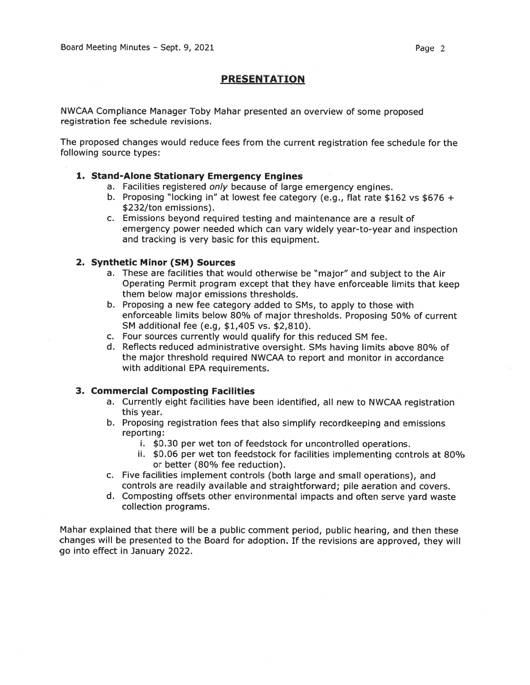# PRESENTATION

NWCAA Compliance Manager Toby Mahar presented an overview of some proposed registration fee schedule revisions.

The proposed changes would reduce fees from the current registration fee schedule for the following source types:

#### 1. Stand-Alone Stationary Emergency Engines

- a. Facilities registered only because of large emergency engines.
- b. Proposing "locking in" at lowest fee category (e.g., flat rate \$162 vs \$676 <sup>+</sup> \$232/ton emissions).
- c. Emissions beyond required testing and maintenance are <sup>a</sup> result of emergency power needed which can vary widely year-to-year and inspection and tracking is very basic for this equipment.

#### 2. Synthetic Minor (SM) Sources

- a. These are facilities that would otherwise be "major" and subject to the Air Operating Permit program excep<sup>t</sup> that they have enforceable limits that keep them below major emissions thresholds.
- b. Proposing <sup>a</sup> new fee category added to SM5, to apply to those with enforceable limits below 80% of major thresholds. Proposing 50% of current SM additional fee (e.g, \$1,405 vs. \$2,810).
- c. Four sources currently would qualify for this reduced SM fee.
- d. Reflects reduced administrative oversight. SMs having limits above 80% of the major threshold required NWCAA to repor<sup>t</sup> and monitor in accordance with additional EPA requirements.

# 3. Commercial Composting Facilities

- a. Currently eight facilities have been identified, all new to NWCAA registration this year.
- b. Proposing registration fees that also simplify recordkeeping and emissions reporting:
	- i. \$0.30 per wet ton of feedstock for uncontrolled operations.
	- ii. \$0.06 per wet ton feedstock for facilities implementing controls at 80% or better (8O% fee reduction).
- c. Five facilities implement controls (both large and small operations), and controls are readily available and straightforward; pile aeration and covers.
- d. Composting offsets other environmental impacts and often serve yar<sup>d</sup> waste collection programs.

Mahar explained that there will be <sup>a</sup> public comment period, public hearing, and then these changes will be presented to the Board for adoption. If the revisions are approved, they will go into effect in January 2022.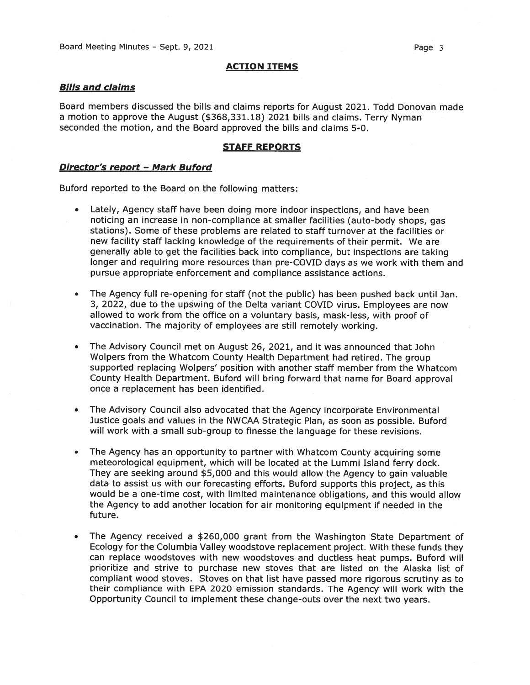#### ACTION ITEMS

#### Bills and claims

Board members discussed the bills and claims reports for August 2021. Todd Donovan made <sup>a</sup> motion to approve the August (\$368,331.18) <sup>2021</sup> bills and claims. Terry Nyman seconded the motion, and the Board approved the bills and claims 5-0.

#### STAFF REPORTS

### Director's report - Mark Buford

Buford reported to the Board on the following matters:

- Lately, Agency staff have been doing more indoor inspections, and have been noticing an increase in non-compliance at smaller facilities (auto-body shops, gas stations). Some of these problems are related to staff turnover at the facilities or new facility staff lacking knowledge of the requirements of their permit. We are generally able to ge<sup>t</sup> the facilities back into compliance, but inspections are taking longer and requiring more resources than pre-COVID days as we work with them and pursue appropriate enforcement and compliance assistance actions.
- • The Agency full re-opening for staff (not the public) has been pushed back until Jan. 3, 2022, due to the upswing of the Delta variant COVID virus. Employees are now allowed to work from the office on <sup>a</sup> voluntary basis, mask-less, with proof of vaccination. The majority of employees are still remotely working.
- • The Advisory Council met on August 26, 2021, and it was announced that John Wolpers from the Whatcom County Health Department had retired. The group supported replacing Wolpers' position with another staff member from the Whatcom County Health Department. Buford will bring forward that name for Board approva<sup>l</sup> once <sup>a</sup> replacement has been identified.
- • The Advisory Council also advocated that the Agency incorporate Environmental Justice goals and values in the NWCAA Strategic Plan, as soon as possible. Buford will work with <sup>a</sup> small sub-group to finesse the language for these revisions.
- • The Agency has an opportunity to partner with Whatcom County acquiring some meteorological equipment, which will be located at the Lummi Island ferry dock. They are seeking around \$5,000 and this would allow the Agency to gain valuable data to assist us with our forecasting efforts. Buford supports this project, as this would be <sup>a</sup> one-time cost, with limited maintenance obligations, and this would allow the Agency to add another location for air monitoring equipment if needed in the future.
- • The Agency received <sup>a</sup> \$260,000 gran<sup>t</sup> from the Washington State Department of Ecology for the Columbia Valley woodstove replacement project. With these funds they can replace woodstoves with new woodstoves and ductless heat pumps. Buford will prioritize and strive to purchase new stoves that are listed on the Alaska list of compliant wood stoves. Stoves on that list have passed more rigorous scrutiny as to their compliance with EPA 2020 emission standards. The Agency will work with the Opportunity Council to implement these change-outs over the next two years.